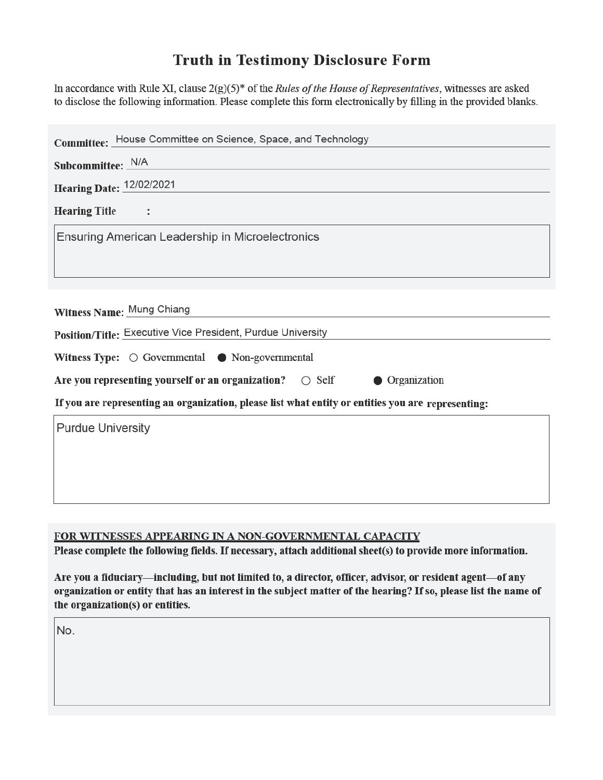## **Truth in Testimony Disclosure Form**

In accordance with Rule XI, clause  $2(g)(5)^*$  of the *Rules of the House of Representatives*, witnesses are asked to disclose the following information. Please complete this form electronically by filling in the provided blanks.

| Committee: House Committee on Science, Space, and Technology                                       |
|----------------------------------------------------------------------------------------------------|
| Subcommittee: N/A                                                                                  |
| <b>Hearing Date: 12/02/2021</b>                                                                    |
| <b>Hearing Title</b><br>$\sim$ $\sim$ $\sim$ $\sim$                                                |
| Ensuring American Leadership in Microelectronics                                                   |
|                                                                                                    |
|                                                                                                    |
| Witness Name: Mung Chiang                                                                          |
| Position/Title: Executive Vice President, Purdue University                                        |
| Witness Type: $\bigcirc$ Governmental $\bigcirc$ Non-governmental                                  |
| Are you representing yourself or an organization? $\circ$ Self<br>• Organization                   |
| If you are representing an organization, please list what entity or entities you are representing: |
| <b>Purdue University</b>                                                                           |
|                                                                                                    |
|                                                                                                    |
|                                                                                                    |

## FOR WITNESSES APPEARING IN A NON-GOVERNMENTAL CAPACITY

Please complete the following fields. If necessary, attach additional sheet(s) to provide more information.

Are you a fiduciary—including, but not limited to, a director, officer, advisor, or resident agent—of any organization or entity that has an interest in the subject matter of the hearing? If so, please list the name of the organization(s) or entities.

No.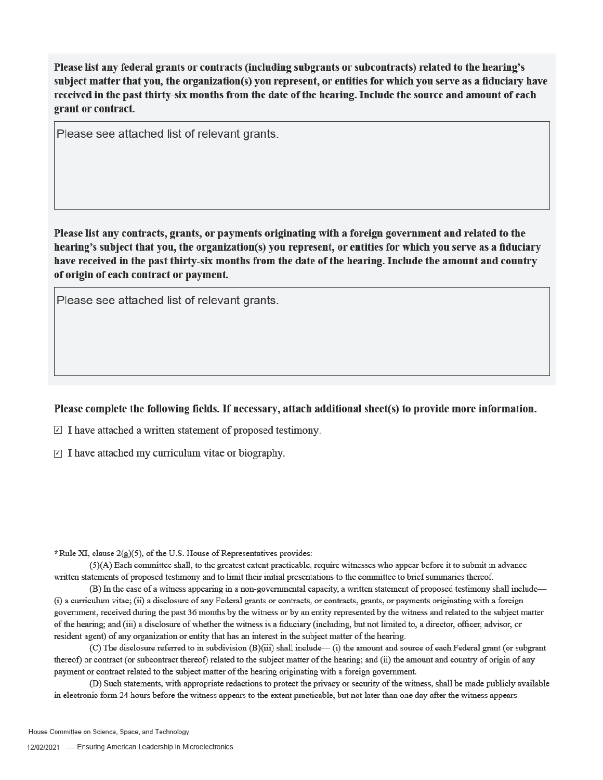Please list any federal grants or contracts (including subgrants or subcontracts) related to the hearing's subject matter that you, the organization(s) you represent, or entities for which you serve as a fiduciary have received in the past thirty-six months from the date of the hearing. Include the source and amount of each grant or contract.

Please see attached list of relevant grants.

Please list any contracts, grants, or payments originating with a foreign government and related to the hearing's subject that you, the organization(s) you represent, or entities for which you serve as a fiduciary have received in the past thirty-six months from the date of the hearing. Include the amount and country of origin of each contract or payment.

Please see attached list of relevant grants.

## Please complete the following fields. If necessary, attach additional sheet(s) to provide more information.

 $\Box$  I have attached a written statement of proposed testimony.

 $\triangledown$  I have attached my curriculum vitae or biography.

\*Rule XI, clause 2(g)(5), of the U.S. House of Representatives provides:

(5)(A) Each committee shall, to the greatest extent practicable, require witnesses who appear before it to submit in advance written statements of proposed testimony and to limit their initial presentations to the committee to brief summaries thereof.

(B) In the case of a witness appearing in a non-governmental capacity, a written statement of proposed testimony shall include— (i) a curriculum vitae; (ii) a disclosure of any Federal grants or contracts, or contracts, grants, or payments originating with a foreign government, received during the past 36 months by the witness or by an entity represented by the witness and related to the subject matter of the hearing; and (iii) a disclosure of whether the witness is a fiduciary (including, but not limited to, a director, officer, advisor, or resident agent) of any organization or entity that has an interest in the subject matter of the hearing.

(C) The disclosure referred to in subdivision (B)(iii) shall include—(i) the amount and source of each Federal grant (or subgrant thereof) or contract (or subcontract thereof) related to the subject matter of the hearing; and (ii) the amount and country of origin of any payment or contract related to the subject matter of the hearing originating with a foreign government.

(D) Such statements, with appropriate redactions to protect the privacy or security of the witness, shall be made publicly available in electronic form 24 hours before the witness appears to the extent practicable, but not later than one day after the witness appears.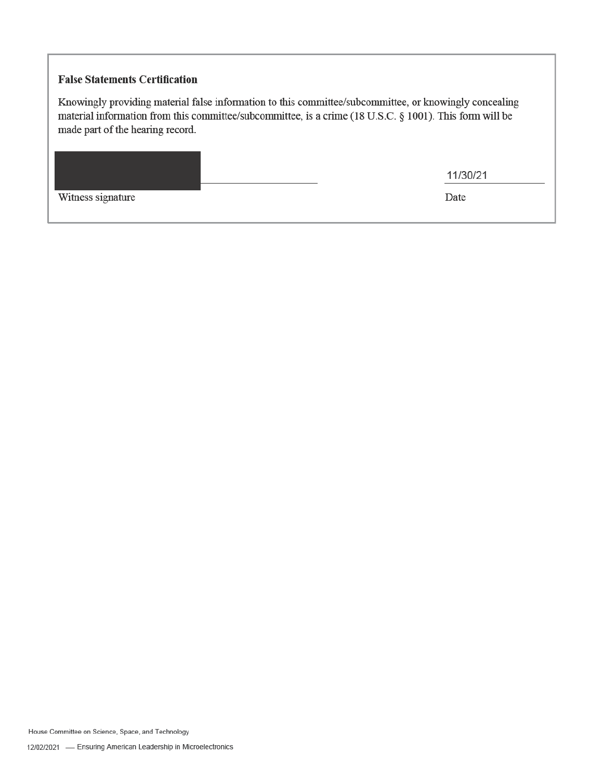## **False Statements Certification**

Knowingly providing material false information to this committee/subcommittee, or knowingly concealing material information from this committee/subcommittee, is a crime (18 U.S.C. § 1001). This form will be made part of the hearing record.

|                   | 11/30/21 |
|-------------------|----------|
| Witness signature | Date     |

House Committee on Science, Space, and Technology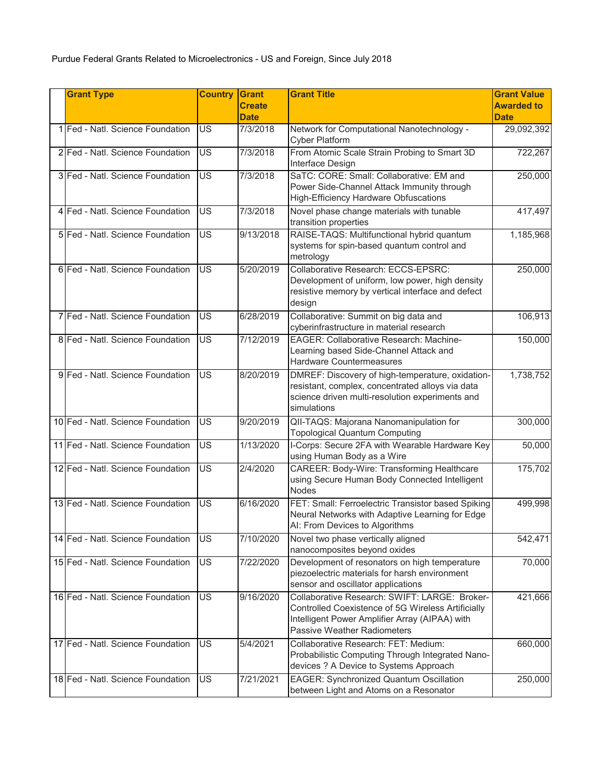| <b>Grant Type</b>                 | <b>Country</b>           | <b>Grant</b><br><b>Create</b><br><b>Date</b> | <b>Grant Title</b>                                                                                                                                                                          | <b>Grant Value</b><br><b>Awarded to</b><br><b>Date</b> |
|-----------------------------------|--------------------------|----------------------------------------------|---------------------------------------------------------------------------------------------------------------------------------------------------------------------------------------------|--------------------------------------------------------|
| 1 Fed - Natl. Science Foundation  | US                       | 7/3/2018                                     | Network for Computational Nanotechnology -<br><b>Cyber Platform</b>                                                                                                                         | 29,092,392                                             |
| 2 Fed - Natl. Science Foundation  | <b>US</b>                | 7/3/2018                                     | From Atomic Scale Strain Probing to Smart 3D<br>Interface Design                                                                                                                            | 722,267                                                |
| 3 Fed - Natl. Science Foundation  | $\overline{\mathsf{US}}$ | 7/3/2018                                     | SaTC: CORE: Small: Collaborative: EM and<br>Power Side-Channel Attack Immunity through<br><b>High-Efficiency Hardware Obfuscations</b>                                                      | 250,000                                                |
| 4 Fed - Natl. Science Foundation  | <b>US</b>                | 7/3/2018                                     | Novel phase change materials with tunable<br>transition properties                                                                                                                          | 417,497                                                |
| 5 Fed - Natl. Science Foundation  | <b>US</b>                | 9/13/2018                                    | RAISE-TAQS: Multifunctional hybrid quantum<br>systems for spin-based quantum control and<br>metrology                                                                                       | 1,185,968                                              |
| 6 Fed - Natl. Science Foundation  | <b>US</b>                | 5/20/2019                                    | Collaborative Research: ECCS-EPSRC:<br>Development of uniform, low power, high density<br>resistive memory by vertical interface and defect<br>design                                       | 250,000                                                |
| 7 Fed - Natl. Science Foundation  | $\overline{\mathsf{US}}$ | 6/28/2019                                    | Collaborative: Summit on big data and<br>cyberinfrastructure in material research                                                                                                           | 106,913                                                |
| 8 Fed - Natl. Science Foundation  | <b>US</b>                | 7/12/2019                                    | <b>EAGER: Collaborative Research: Machine-</b><br>Learning based Side-Channel Attack and<br><b>Hardware Countermeasures</b>                                                                 | 150,000                                                |
| 9 Fed - Natl. Science Foundation  | $\overline{\mathsf{US}}$ | 8/20/2019                                    | DMREF: Discovery of high-temperature, oxidation-<br>resistant, complex, concentrated alloys via data<br>science driven multi-resolution experiments and<br>simulations                      | 1,738,752                                              |
| 10 Fed - Natl. Science Foundation | <b>US</b>                | 9/20/2019                                    | QII-TAQS: Majorana Nanomanipulation for<br><b>Topological Quantum Computing</b>                                                                                                             | 300,000                                                |
| 11 Fed - Natl. Science Foundation | $\overline{\mathsf{US}}$ | 1/13/2020                                    | I-Corps: Secure 2FA with Wearable Hardware Key<br>using Human Body as a Wire                                                                                                                | 50,000                                                 |
| 12 Fed - Natl. Science Foundation | <b>US</b>                | 2/4/2020                                     | <b>CAREER: Body-Wire: Transforming Healthcare</b><br>using Secure Human Body Connected Intelligent<br><b>Nodes</b>                                                                          | 175,702                                                |
| 13 Fed - Natl. Science Foundation | <b>US</b>                | 6/16/2020                                    | FET: Small: Ferroelectric Transistor based Spiking<br>Neural Networks with Adaptive Learning for Edge<br>AI: From Devices to Algorithms                                                     | 499,998                                                |
| 14 Fed - Natl. Science Foundation | <b>US</b>                | 7/10/2020                                    | Novel two phase vertically aligned<br>nanocomposites beyond oxides                                                                                                                          | 542,471                                                |
| 15 Fed - Natl. Science Foundation | <b>US</b>                | 7/22/2020                                    | Development of resonators on high temperature<br>piezoelectric materials for harsh environment<br>sensor and oscillator applications                                                        | 70,000                                                 |
| 16 Fed - Natl. Science Foundation | <b>US</b>                | 9/16/2020                                    | Collaborative Research: SWIFT: LARGE: Broker-<br>Controlled Coexistence of 5G Wireless Artificially<br>Intelligent Power Amplifier Array (AIPAA) with<br><b>Passive Weather Radiometers</b> | 421,666                                                |
| 17 Fed - Natl. Science Foundation | <b>US</b>                | 5/4/2021                                     | Collaborative Research: FET: Medium:<br>Probabilistic Computing Through Integrated Nano-<br>devices ? A Device to Systems Approach                                                          | 660,000                                                |
| 18 Fed - Natl. Science Foundation | <b>US</b>                | 7/21/2021                                    | <b>EAGER: Synchronized Quantum Oscillation</b><br>between Light and Atoms on a Resonator                                                                                                    | 250,000                                                |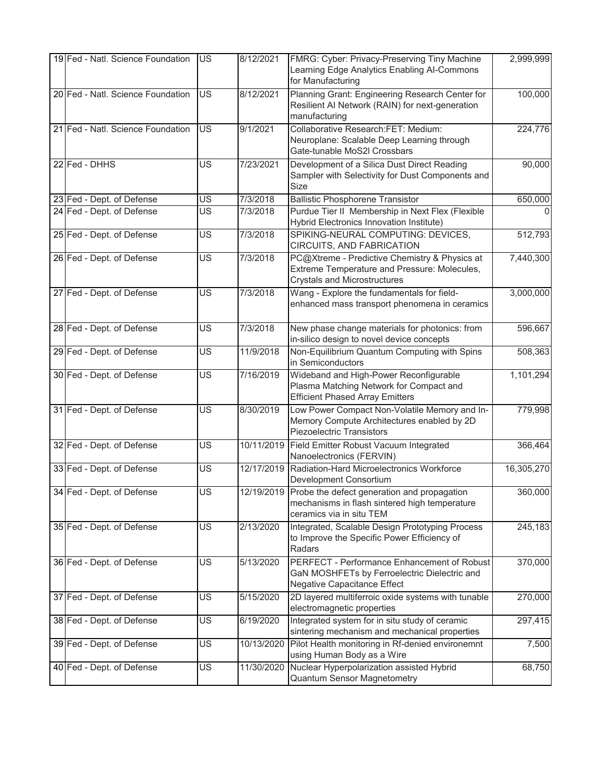| 19 Fed - Natl. Science Foundation | <b>US</b>                | 8/12/2021             | FMRG: Cyber: Privacy-Preserving Tiny Machine<br>Learning Edge Analytics Enabling Al-Commons<br>for Manufacturing                     | 2,999,999  |
|-----------------------------------|--------------------------|-----------------------|--------------------------------------------------------------------------------------------------------------------------------------|------------|
| 20 Fed - Natl. Science Foundation | $\overline{\mathsf{US}}$ | 8/12/2021             | Planning Grant: Engineering Research Center for<br>Resilient Al Network (RAIN) for next-generation<br>manufacturing                  | 100,000    |
| 21 Fed - Natl. Science Foundation | $\overline{\mathsf{US}}$ | 9/1/2021              | Collaborative Research:FET: Medium:<br>Neuroplane: Scalable Deep Learning through<br>Gate-tunable MoS2I Crossbars                    | 224,776    |
| 22 Fed - DHHS                     | <b>US</b>                | 7/23/2021             | Development of a Silica Dust Direct Reading<br>Sampler with Selectivity for Dust Components and<br>Size                              | 90,000     |
| 23 Fed - Dept. of Defense         | US                       | $\frac{1}{7}{3/2018}$ | <b>Ballistic Phosphorene Transistor</b>                                                                                              | 650,000    |
| 24 Fed - Dept. of Defense         | <b>US</b>                | 7/3/2018              | Purdue Tier II Membership in Next Flex (Flexible<br>Hybrid Electronics Innovation Institute)                                         |            |
| 25 Fed - Dept. of Defense         | $\overline{\mathsf{US}}$ | 7/3/2018              | SPIKING-NEURAL COMPUTING: DEVICES,<br>CIRCUITS, AND FABRICATION                                                                      | 512,793    |
| 26 Fed - Dept. of Defense         | $\overline{\mathsf{US}}$ | 7/3/2018              | PC@Xtreme - Predictive Chemistry & Physics at<br>Extreme Temperature and Pressure: Molecules,<br><b>Crystals and Microstructures</b> | 7,440,300  |
| 27 Fed - Dept. of Defense         | $\overline{\mathsf{US}}$ | 7/3/2018              | Wang - Explore the fundamentals for field-<br>enhanced mass transport phenomena in ceramics                                          | 3,000,000  |
| 28 Fed - Dept. of Defense         | <b>US</b>                | 7/3/2018              | New phase change materials for photonics: from<br>in-silico design to novel device concepts                                          | 596,667    |
| 29 Fed - Dept. of Defense         | $\overline{\mathsf{US}}$ | 11/9/2018             | Non-Equilibrium Quantum Computing with Spins<br>in Semiconductors                                                                    | 508,363    |
| 30 Fed - Dept. of Defense         | $\overline{\mathsf{US}}$ | 7/16/2019             | Wideband and High-Power Reconfigurable<br>Plasma Matching Network for Compact and<br><b>Efficient Phased Array Emitters</b>          | 1,101,294  |
| 31 Fed - Dept. of Defense         | $\overline{\mathsf{US}}$ | 8/30/2019             | Low Power Compact Non-Volatile Memory and In-<br>Memory Compute Architectures enabled by 2D<br><b>Piezoelectric Transistors</b>      | 779,998    |
| 32 Fed - Dept. of Defense         | US                       |                       | 10/11/2019 Field Emitter Robust Vacuum Integrated<br>Nanoelectronics (FERVIN)                                                        | 366,464    |
| 33 Fed - Dept. of Defense         | <b>US</b>                | 12/17/2019            | Radiation-Hard Microelectronics Workforce<br>Development Consortium                                                                  | 16,305,270 |
| 34 Fed - Dept. of Defense         | $\overline{\mathsf{US}}$ | 12/19/2019            | Probe the defect generation and propagation<br>mechanisms in flash sintered high temperature<br>ceramics via in situ TEM             | 360,000    |
| 35 Fed - Dept. of Defense         | <b>US</b>                | 2/13/2020             | Integrated, Scalable Design Prototyping Process<br>to Improve the Specific Power Efficiency of<br>Radars                             | 245,183    |
| 36 Fed - Dept. of Defense         | <b>US</b>                | 5/13/2020             | PERFECT - Performance Enhancement of Robust<br>GaN MOSHFETs by Ferroelectric Dielectric and<br>Negative Capacitance Effect           | 370,000    |
| 37 Fed - Dept. of Defense         | <b>US</b>                | 5/15/2020             | 2D layered multiferroic oxide systems with tunable<br>electromagnetic properties                                                     | 270,000    |
| 38 Fed - Dept. of Defense         | $\overline{\mathsf{US}}$ | 6/19/2020             | Integrated system for in situ study of ceramic<br>sintering mechanism and mechanical properties                                      | 297,415    |
| 39 Fed - Dept. of Defense         | US                       | 10/13/2020            | Pilot Health monitoring in Rf-denied environemnt<br>using Human Body as a Wire                                                       | 7,500      |
| 40 Fed - Dept. of Defense         | <b>US</b>                | 11/30/2020            | Nuclear Hyperpolarization assisted Hybrid<br><b>Quantum Sensor Magnetometry</b>                                                      | 68,750     |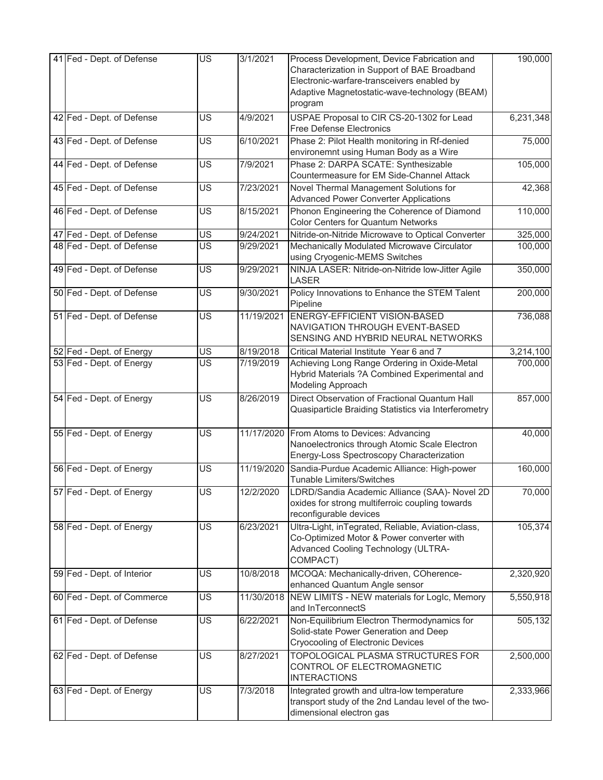| 41 Fed - Dept. of Defense  | <b>US</b>                | 3/1/2021   | Process Development, Device Fabrication and<br>Characterization in Support of BAE Broadband<br>Electronic-warfare-transceivers enabled by<br>Adaptive Magnetostatic-wave-technology (BEAM)<br>program | 190,000   |
|----------------------------|--------------------------|------------|-------------------------------------------------------------------------------------------------------------------------------------------------------------------------------------------------------|-----------|
| 42 Fed - Dept. of Defense  | <b>US</b>                | 4/9/2021   | USPAE Proposal to CIR CS-20-1302 for Lead<br><b>Free Defense Electronics</b>                                                                                                                          | 6,231,348 |
| 43 Fed - Dept. of Defense  | <b>US</b>                | 6/10/2021  | Phase 2: Pilot Health monitoring in Rf-denied<br>environemnt using Human Body as a Wire                                                                                                               | 75,000    |
| 44 Fed - Dept. of Defense  | <b>US</b>                | 7/9/2021   | Phase 2: DARPA SCATE: Synthesizable<br>Countermeasure for EM Side-Channel Attack                                                                                                                      | 105,000   |
| 45 Fed - Dept. of Defense  | <b>US</b>                | 7/23/2021  | Novel Thermal Management Solutions for<br><b>Advanced Power Converter Applications</b>                                                                                                                | 42,368    |
| 46 Fed - Dept. of Defense  | <b>US</b>                | 8/15/2021  | Phonon Engineering the Coherence of Diamond<br><b>Color Centers for Quantum Networks</b>                                                                                                              | 110,000   |
| 47 Fed - Dept. of Defense  | US                       | 9/24/2021  | Nitride-on-Nitride Microwave to Optical Converter                                                                                                                                                     | 325,000   |
| 48 Fed - Dept. of Defense  | <b>US</b>                | 9/29/2021  | Mechanically Modulated Microwave Circulator<br>using Cryogenic-MEMS Switches                                                                                                                          | 100,000   |
| 49 Fed - Dept. of Defense  | <b>US</b>                | 9/29/2021  | NINJA LASER: Nitride-on-Nitride low-Jitter Agile<br><b>LASER</b>                                                                                                                                      | 350,000   |
| 50 Fed - Dept. of Defense  | US <sup></sup>           | 9/30/2021  | Policy Innovations to Enhance the STEM Talent<br>Pipeline                                                                                                                                             | 200,000   |
| 51 Fed - Dept. of Defense  | <b>US</b>                | 11/19/2021 | <b>ENERGY-EFFICIENT VISION-BASED</b><br>NAVIGATION THROUGH EVENT-BASED<br>SENSING AND HYBRID NEURAL NETWORKS                                                                                          | 736,088   |
| 52 Fed - Dept. of Energy   | $\overline{US}$          | 8/19/2018  | Critical Material Institute Year 6 and 7                                                                                                                                                              | 3,214,100 |
| 53 Fed - Dept. of Energy   | <b>US</b>                | 7/19/2019  | Achieving Long Range Ordering in Oxide-Metal<br>Hybrid Materials ?A Combined Experimental and<br>Modeling Approach                                                                                    | 700,000   |
| 54 Fed - Dept. of Energy   | <b>US</b>                | 8/26/2019  | Direct Observation of Fractional Quantum Hall<br>Quasiparticle Braiding Statistics via Interferometry                                                                                                 | 857,000   |
| 55 Fed - Dept. of Energy   | <b>US</b>                | 11/17/2020 | From Atoms to Devices: Advancing<br>Nanoelectronics through Atomic Scale Electron<br>Energy-Loss Spectroscopy Characterization                                                                        | 40,000    |
| 56 Fed - Dept. of Energy   | <b>US</b>                | 11/19/2020 | Sandia-Purdue Academic Alliance: High-power<br><b>Tunable Limiters/Switches</b>                                                                                                                       | 160,000   |
| 57 Fed - Dept. of Energy   | $\overline{\mathsf{US}}$ | 12/2/2020  | LDRD/Sandia Academic Alliance (SAA)- Novel 2D<br>oxides for strong multiferroic coupling towards<br>reconfigurable devices                                                                            | 70,000    |
| 58 Fed - Dept. of Energy   | <b>US</b>                | 6/23/2021  | Ultra-Light, inTegrated, Reliable, Aviation-class,<br>Co-Optimized Motor & Power converter with<br>Advanced Cooling Technology (ULTRA-<br>COMPACT)                                                    | 105,374   |
| 59 Fed - Dept. of Interior | US                       | 10/8/2018  | MCOQA: Mechanically-driven, COherence-<br>enhanced Quantum Angle sensor                                                                                                                               | 2,320,920 |
| 60 Fed - Dept. of Commerce | <b>US</b>                | 11/30/2018 | NEW LIMITS - NEW materials for LogIc, Memory<br>and InTerconnectS                                                                                                                                     | 5,550,918 |
| 61 Fed - Dept. of Defense  | $\overline{\mathsf{US}}$ | 6/22/2021  | Non-Equilibrium Electron Thermodynamics for<br>Solid-state Power Generation and Deep<br><b>Cryocooling of Electronic Devices</b>                                                                      | 505,132   |
| 62 Fed - Dept. of Defense  | <b>US</b>                | 8/27/2021  | <b>TOPOLOGICAL PLASMA STRUCTURES FOR</b><br>CONTROL OF ELECTROMAGNETIC<br><b>INTERACTIONS</b>                                                                                                         | 2,500,000 |
| 63 Fed - Dept. of Energy   | <b>US</b>                | 7/3/2018   | Integrated growth and ultra-low temperature<br>transport study of the 2nd Landau level of the two-<br>dimensional electron gas                                                                        | 2,333,966 |